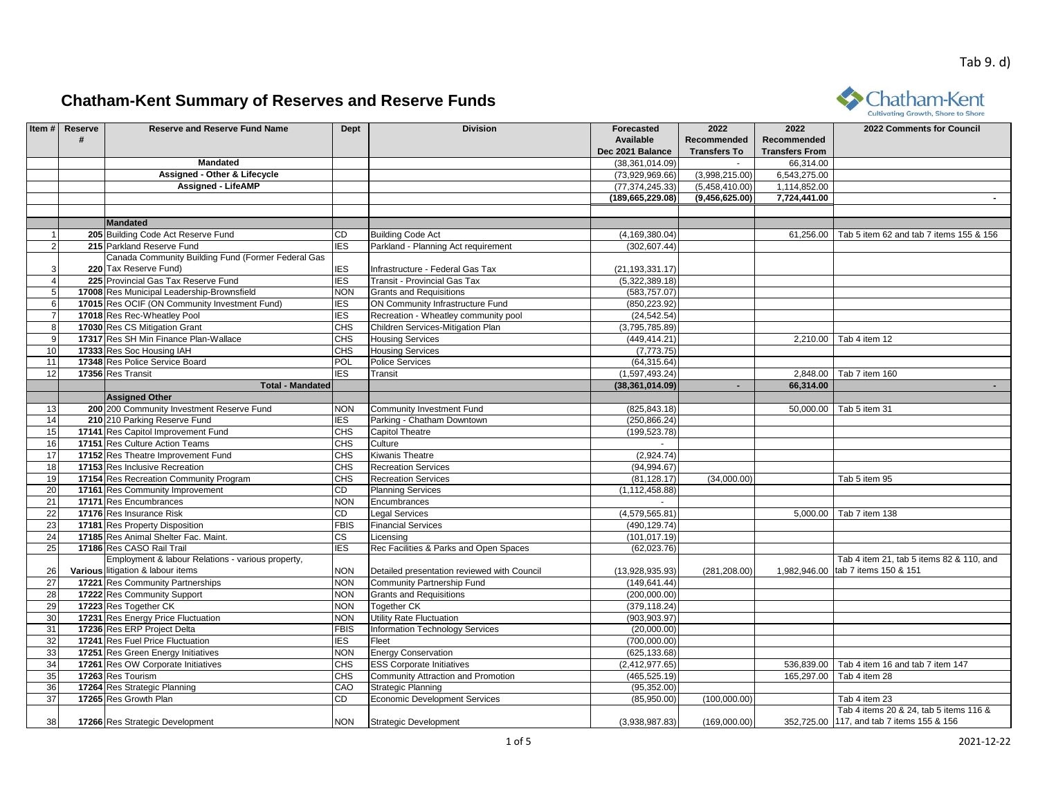

|                 | Item # Reserve | <b>Reserve and Reserve Fund Name</b>               | <b>Dept</b> | <b>Division</b>                             | Forecasted         | 2022                | 2022                  | 2022 Comments for Council                   |
|-----------------|----------------|----------------------------------------------------|-------------|---------------------------------------------|--------------------|---------------------|-----------------------|---------------------------------------------|
|                 | #              |                                                    |             |                                             | <b>Available</b>   | <b>Recommended</b>  | Recommended           |                                             |
|                 |                |                                                    |             |                                             | Dec 2021 Balance   | <b>Transfers To</b> | <b>Transfers From</b> |                                             |
|                 |                | <b>Mandated</b>                                    |             |                                             | (38, 361, 014.09)  | $\sim$              | 66,314.00             |                                             |
|                 |                | <b>Assigned - Other &amp; Lifecycle</b>            |             |                                             | (73,929,969.66)    | (3,998,215.00)      | 6,543,275.00          |                                             |
|                 |                | <b>Assigned - LifeAMP</b>                          |             |                                             | (77, 374, 245.33)  | (5,458,410.00)      | 1,114,852.00          |                                             |
|                 |                |                                                    |             |                                             | (189, 665, 229.08) | (9,456,625.00)      | 7,724,441.00          |                                             |
|                 |                |                                                    |             |                                             |                    |                     |                       |                                             |
|                 |                | <b>Mandated</b>                                    |             |                                             |                    |                     |                       |                                             |
|                 |                | 205 Building Code Act Reserve Fund                 | CD          | <b>Building Code Act</b>                    | (4, 169, 380.04)   |                     | 61,256.00             | Tab 5 item 62 and tab 7 items 155 & 156     |
| $\overline{2}$  |                | 215 Parkland Reserve Fund                          | <b>IES</b>  | Parkland - Planning Act requirement         | (302, 607.44)      |                     |                       |                                             |
|                 |                | Canada Community Building Fund (Former Federal Gas |             |                                             |                    |                     |                       |                                             |
| 3               |                | 220 Tax Reserve Fund)                              | <b>IES</b>  | Infrastructure - Federal Gas Tax            | (21, 193, 331.17)  |                     |                       |                                             |
| $\overline{4}$  |                | 225 Provincial Gas Tax Reserve Fund                | <b>IES</b>  | Transit - Provincial Gas Tax                | (5,322,389.18)     |                     |                       |                                             |
| $\,$ 5 $\,$     |                | 17008 Res Municipal Leadership-Brownsfield         | <b>NON</b>  | <b>Grants and Requisitions</b>              | (583.757.07)       |                     |                       |                                             |
| 6               |                | 17015 Res OCIF (ON Community Investment Fund)      | <b>IES</b>  | ON Community Infrastructure Fund            | (850, 223.92)      |                     |                       |                                             |
| $\overline{7}$  |                | 17018 Res Rec-Wheatley Pool                        | <b>IES</b>  | Recreation - Wheatley community pool        | (24, 542.54)       |                     |                       |                                             |
| $\overline{8}$  |                | 17030 Res CS Mitigation Grant                      | <b>CHS</b>  | Children Services-Mitigation Plan           | (3,795,785.89)     |                     |                       |                                             |
| 9               |                | 17317 Res SH Min Finance Plan-Wallace              | <b>CHS</b>  | <b>Housing Services</b>                     | (449, 414.21)      |                     |                       | 2,210.00 Tab 4 item 12                      |
| 10              |                | 17333 Res Soc Housing IAH                          | CHS         | <b>Housing Services</b>                     | (7,773.75)         |                     |                       |                                             |
| 11              |                | 17348 Res Police Service Board                     | POL         | <b>Police Services</b>                      | (64, 315.64)       |                     |                       |                                             |
| 12              |                | 17356 Res Transit                                  | <b>IES</b>  | Transit                                     | (1,597,493.24)     |                     | 2.848.00              | Tab 7 item 160                              |
|                 |                | <b>Total - Mandated</b>                            |             |                                             | (38, 361, 014.09)  | ÷.                  | 66,314.00             |                                             |
|                 |                | <b>Assigned Other</b>                              |             |                                             |                    |                     |                       |                                             |
| 13              |                | 200 200 Community Investment Reserve Fund          | <b>NON</b>  | Community Investment Fund                   | (825, 843.18)      |                     | 50,000.00             | Tab 5 item 31                               |
| 14              |                | 210 210 Parking Reserve Fund                       | <b>IES</b>  | Parking - Chatham Downtown                  | (250, 866.24)      |                     |                       |                                             |
| 15              |                | 17141 Res Capitol Improvement Fund                 | <b>CHS</b>  | <b>Capitol Theatre</b>                      | (199, 523.78)      |                     |                       |                                             |
| 16              |                | 17151 Res Culture Action Teams                     | <b>CHS</b>  | Culture                                     |                    |                     |                       |                                             |
| 17              |                | 17152 Res Theatre Improvement Fund                 | <b>CHS</b>  | Kiwanis Theatre                             | (2,924.74)         |                     |                       |                                             |
| 18              |                | 17153 Res Inclusive Recreation                     | <b>CHS</b>  | <b>Recreation Services</b>                  | (94, 994.67)       |                     |                       |                                             |
| 19              |                | 17154 Res Recreation Community Program             | <b>CHS</b>  | <b>Recreation Services</b>                  | (81, 128.17)       | (34,000.00)         |                       | Tab 5 item 95                               |
| 20              |                | 17161 Res Community Improvement                    | CD          | <b>Planning Services</b>                    | (1, 112, 458.88)   |                     |                       |                                             |
| 21              |                | 17171 Res Encumbrances                             | <b>NON</b>  | Encumbrances                                |                    |                     |                       |                                             |
| $\overline{22}$ |                | 17176 Res Insurance Risk                           | CD          | <b>Legal Services</b>                       | (4,579,565.81)     |                     |                       | 5,000.00 Tab 7 item 138                     |
| 23              |                | 17181 Res Property Disposition                     | <b>FBIS</b> | <b>Financial Services</b>                   | (490, 129.74)      |                     |                       |                                             |
| $\overline{24}$ |                | 17185 Res Animal Shelter Fac. Maint.               | СS          | Licensing                                   | (101, 017.19)      |                     |                       |                                             |
| 25              |                | 17186 Res CASO Rail Trail                          | <b>IES</b>  | Rec Facilities & Parks and Open Spaces      | (62,023.76)        |                     |                       |                                             |
|                 |                | Employment & labour Relations - various property,  |             |                                             |                    |                     |                       | Tab 4 item 21, tab 5 items 82 & 110, and    |
| 26              |                | Various litigation & labour items                  | <b>NON</b>  | Detailed presentation reviewed with Council | (13,928,935.93)    | (281, 208.00)       |                       | 1,982,946.00 tab 7 items 150 & 151          |
| 27              |                | 17221 Res Community Partnerships                   | <b>NON</b>  | Community Partnership Fund                  | (149, 641.44)      |                     |                       |                                             |
| $\overline{28}$ |                | 17222 Res Community Support                        | <b>NON</b>  | <b>Grants and Requisitions</b>              | (200,000.00)       |                     |                       |                                             |
| 29              |                | 17223 Res Together CK                              | <b>NON</b>  | Together CK                                 | (379, 118.24)      |                     |                       |                                             |
| 30              |                | 17231 Res Energy Price Fluctuation                 | <b>NON</b>  | Utility Rate Fluctuation                    | (903, 903.97)      |                     |                       |                                             |
| 31              |                | 17236 Res ERP Project Delta                        | FBIS        | <b>Information Technology Services</b>      | (20,000.00)        |                     |                       |                                             |
| 32              |                | 17241 Res Fuel Price Fluctuation                   | <b>IES</b>  | Fleet                                       | (700,000.00)       |                     |                       |                                             |
| 33              |                | 17251 Res Green Energy Initiatives                 | <b>NON</b>  | <b>Energy Conservation</b>                  | (625, 133.68)      |                     |                       |                                             |
| 34              |                | 17261 Res OW Corporate Initiatives                 | <b>CHS</b>  | <b>ESS Corporate Initiatives</b>            | (2, 412, 977.65)   |                     |                       | 536,839.00 Tab 4 item 16 and tab 7 item 147 |
| 35              |                | 17263 Res Tourism                                  | <b>CHS</b>  | Community Attraction and Promotion          | (465, 525.19)      |                     | 165,297.00            | Tab 4 item 28                               |
| 36              |                | 17264 Res Strategic Planning                       | CAO         | Strategic Planning                          | (95, 352.00)       |                     |                       |                                             |
| 37              |                | 17265 Res Growth Plan                              | CD          | <b>Economic Development Services</b>        | (85,950.00)        | (100,000.00)        |                       | Tab 4 item 23                               |
|                 |                |                                                    |             |                                             |                    |                     |                       | Tab 4 items 20 & 24, tab 5 items 116 &      |
| 38              |                | 17266 Res Strategic Development                    | <b>NON</b>  | <b>Strategic Development</b>                | (3,938,987.83)     | (169,000.00)        |                       | 352.725.00 117, and tab 7 items 155 & 156   |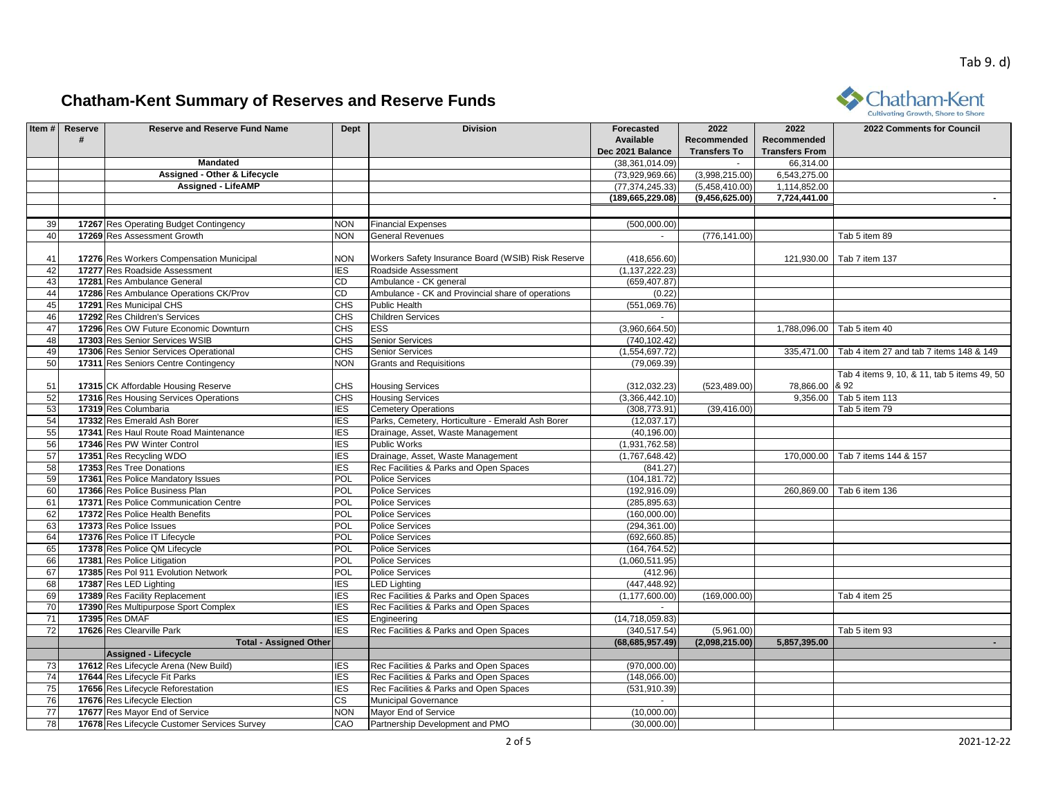

|                 |                |                                              |                        |                                                    |                    |                     |                       | cultivating arow the shore to shore                |
|-----------------|----------------|----------------------------------------------|------------------------|----------------------------------------------------|--------------------|---------------------|-----------------------|----------------------------------------------------|
|                 | Item # Reserve | <b>Reserve and Reserve Fund Name</b>         | Dept                   | <b>Division</b>                                    | Forecasted         | 2022                | 2022                  | 2022 Comments for Council                          |
|                 | #              |                                              |                        |                                                    | Available          | Recommended         | Recommended           |                                                    |
|                 |                |                                              |                        |                                                    | Dec 2021 Balance   | <b>Transfers To</b> | <b>Transfers From</b> |                                                    |
|                 |                | <b>Mandated</b>                              |                        |                                                    | (38, 361, 014.09)  |                     | 66,314.00             |                                                    |
|                 |                | Assigned - Other & Lifecycle                 |                        |                                                    | (73,929,969.66)    | (3,998,215.00)      | 6,543,275.00          |                                                    |
|                 |                | <b>Assigned - LifeAMP</b>                    |                        |                                                    | (77, 374, 245.33)  | (5,458,410.00)      | 1,114,852.00          |                                                    |
|                 |                |                                              |                        |                                                    | (189, 665, 229.08) | (9,456,625.00)      | 7,724,441.00          |                                                    |
|                 |                |                                              |                        |                                                    |                    |                     |                       |                                                    |
| 39              |                | 17267 Res Operating Budget Contingency       | <b>NON</b>             | <b>Financial Expenses</b>                          | (500,000.00)       |                     |                       |                                                    |
| 40              |                | 17269 Res Assessment Growth                  | <b>NON</b>             | <b>General Revenues</b>                            |                    | (776, 141.00)       |                       | Tab 5 item 89                                      |
|                 |                |                                              |                        |                                                    |                    |                     |                       |                                                    |
| 41              |                | 17276 Res Workers Compensation Municipal     | <b>NON</b>             | Workers Safety Insurance Board (WSIB) Risk Reserve | (418, 656.60)      |                     |                       | 121,930.00   Tab 7 item 137                        |
| 42              |                | 17277 Res Roadside Assessment                | <b>IES</b>             | Roadside Assessment                                | (1, 137, 222.23)   |                     |                       |                                                    |
| 43              |                | 17281 Res Ambulance General                  | CD                     | Ambulance - CK general                             | (659, 407.87)      |                     |                       |                                                    |
| 44              |                | 17286 Res Ambulance Operations CK/Prov       | $\overline{\text{CD}}$ | Ambulance - CK and Provincial share of operations  | (0.22)             |                     |                       |                                                    |
| 45              |                | 17291 Res Municipal CHS                      | CHS                    | Public Health                                      | (551,069.76)       |                     |                       |                                                    |
| 46              |                | 17292 Res Children's Services                | <b>CHS</b>             | <b>Children Services</b>                           | $\sim$             |                     |                       |                                                    |
| 47              |                | 17296 Res OW Future Economic Downturn        | CHS                    | ESS                                                | (3,960,664.50)     |                     |                       | 1,788,096.00   Tab 5 item 40                       |
| 48              |                | 17303 Res Senior Services WSIB               | <b>CHS</b>             | <b>Senior Services</b>                             | (740, 102.42)      |                     |                       |                                                    |
| 49              |                | 17306 Res Senior Services Operational        | CHS                    | <b>Senior Services</b>                             | (1,554,697.72)     |                     |                       | 335,471.00 Tab 4 item 27 and tab 7 items 148 & 149 |
| 50              |                | 17311 Res Seniors Centre Contingency         | <b>NON</b>             | <b>Grants and Requisitions</b>                     | (79,069.39)        |                     |                       |                                                    |
|                 |                |                                              |                        |                                                    |                    |                     |                       | Tab 4 items 9, 10, & 11, tab 5 items 49, 50        |
| 51              |                | 17315 CK Affordable Housing Reserve          | <b>CHS</b>             | <b>Housing Services</b>                            | (312, 032.23)      | (523, 489.00)       | 78,866.00 & 92        |                                                    |
| 52              |                | 17316 Res Housing Services Operations        | <b>CHS</b>             | <b>Housing Services</b>                            | (3,366,442.10)     |                     |                       | 9,356.00 Tab 5 item 113                            |
| 53              |                | 17319 Res Columbaria                         | <b>IES</b>             | <b>Cemetery Operations</b>                         | (308, 773.91)      | (39, 416.00)        |                       | Tab 5 item 79                                      |
| 54              |                | 17332 Res Emerald Ash Borer                  | <b>IES</b>             | Parks, Cemetery, Horticulture - Emerald Ash Borer  | (12,037.17)        |                     |                       |                                                    |
| 55              |                | 17341 Res Haul Route Road Maintenance        | <b>IES</b>             | Drainage, Asset, Waste Management                  | (40, 196.00)       |                     |                       |                                                    |
| 56              |                | 17346 Res PW Winter Control                  | <b>IES</b>             | Public Works                                       | (1,931,762.58)     |                     |                       |                                                    |
| 57              |                | 17351 Res Recycling WDO                      | <b>IES</b>             | Drainage, Asset, Waste Management                  | (1,767,648.42)     |                     | 170.000.00            | Tab 7 items 144 & 157                              |
| 58              |                | 17353 Res Tree Donations                     | <b>IES</b>             | Rec Facilities & Parks and Open Spaces             | (841.27)           |                     |                       |                                                    |
| 59              |                | 17361 Res Police Mandatory Issues            | POL                    | <b>Police Services</b>                             | (104, 181.72)      |                     |                       |                                                    |
| 60              |                | 17366 Res Police Business Plan               | POL                    | <b>Police Services</b>                             | (192, 916.09)      |                     |                       | 260,869.00   Tab 6 item 136                        |
| 61              |                | 17371 Res Police Communication Centre        | <b>POL</b>             | <b>Police Services</b>                             | (285, 895.63)      |                     |                       |                                                    |
| 62              |                | 17372 Res Police Health Benefits             | <b>POL</b>             | <b>Police Services</b>                             | (160,000.00)       |                     |                       |                                                    |
| 63              |                | 17373 Res Police Issues                      | POL                    | <b>Police Services</b>                             | (294, 361.00)      |                     |                       |                                                    |
| 64              |                | 17376 Res Police IT Lifecycle                | <b>POL</b>             | <b>Police Services</b>                             | (692, 660.85)      |                     |                       |                                                    |
| 65              |                | 17378 Res Police QM Lifecycle                | POL                    | <b>Police Services</b>                             | (164, 764.52)      |                     |                       |                                                    |
| 66              |                | 17381 Res Police Litigation                  | POL                    | <b>Police Services</b>                             | (1,060,511.95)     |                     |                       |                                                    |
| 67              |                | 17385 Res Pol 911 Evolution Network          | <b>POL</b>             | <b>Police Services</b>                             | (412.96)           |                     |                       |                                                    |
| 68              |                | 17387 Res LED Lighting                       | <b>IES</b>             | LED Lighting                                       | (447, 448.92)      |                     |                       |                                                    |
| 69              |                | 17389 Res Facility Replacement               | <b>IES</b>             | Rec Facilities & Parks and Open Spaces             | (1, 177, 600.00)   | (169,000.00)        |                       | Tab 4 item 25                                      |
| 70              |                | 17390 Res Multipurpose Sport Complex         | IES                    | Rec Facilities & Parks and Open Spaces             |                    |                     |                       |                                                    |
| 71              |                | 17395 Res DMAF                               | <b>IES</b>             | Engineering                                        | (14,718,059.83)    |                     |                       |                                                    |
| 72              |                | 17626 Res Clearville Park                    | <b>IES</b>             | Rec Facilities & Parks and Open Spaces             | (340, 517.54)      | (5,961.00)          |                       | Tab 5 item 93                                      |
|                 |                | <b>Total - Assigned Other</b>                |                        |                                                    | (68, 685, 957.49)  | (2,098,215.00)      | 5,857,395.00          |                                                    |
|                 |                | <b>Assigned - Lifecycle</b>                  |                        |                                                    |                    |                     |                       |                                                    |
| 73              |                | 17612 Res Lifecycle Arena (New Build)        | <b>IES</b>             | Rec Facilities & Parks and Open Spaces             | (970,000.00)       |                     |                       |                                                    |
| 74              |                | 17644 Res Lifecycle Fit Parks                | <b>IES</b>             | Rec Facilities & Parks and Open Spaces             | (148,066.00)       |                     |                       |                                                    |
| 75              |                | 17656 Res Lifecycle Reforestation            | <b>IES</b>             | Rec Facilities & Parks and Open Spaces             | (531, 910.39)      |                     |                       |                                                    |
| 76              |                | 17676 Res Lifecycle Election                 | СS                     | Municipal Governance                               |                    |                     |                       |                                                    |
| $\overline{77}$ |                | 17677 Res Mayor End of Service               | <b>NON</b>             | Mayor End of Service                               | (10,000.00)        |                     |                       |                                                    |
| 78              |                | 17678 Res Lifecycle Customer Services Survey | CAO                    | Partnership Development and PMO                    | (30,000.00)        |                     |                       |                                                    |
|                 |                |                                              |                        |                                                    |                    |                     |                       |                                                    |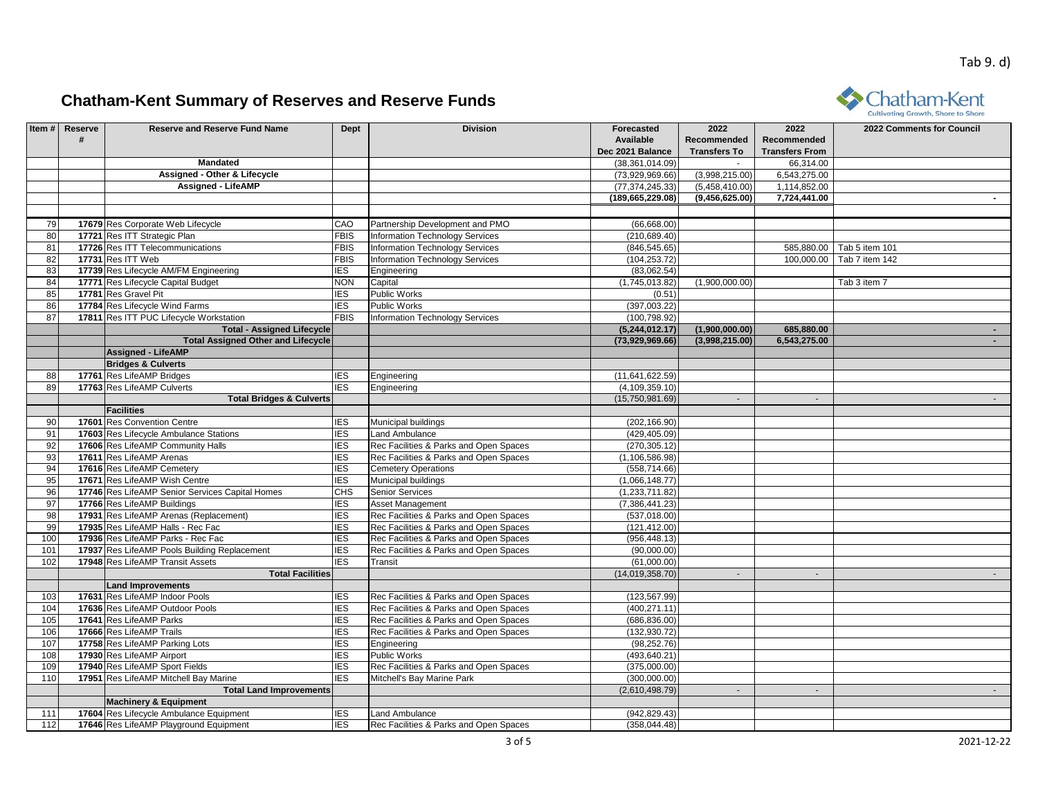

|     |                |                                                 |             |                                        |                    |                     |                       | Cultivating Growth, Shore to Shore |
|-----|----------------|-------------------------------------------------|-------------|----------------------------------------|--------------------|---------------------|-----------------------|------------------------------------|
|     | Item # Reserve | <b>Reserve and Reserve Fund Name</b>            | Dept        | <b>Division</b>                        | Forecasted         | 2022                | 2022                  | 2022 Comments for Council          |
|     | #              |                                                 |             |                                        | Available          | Recommended         | Recommended           |                                    |
|     |                |                                                 |             |                                        | Dec 2021 Balance   | <b>Transfers To</b> | <b>Transfers From</b> |                                    |
|     |                | Mandated                                        |             |                                        | (38, 361, 014.09)  |                     | 66,314.00             |                                    |
|     |                | Assigned - Other & Lifecycle                    |             |                                        | (73,929,969.66)    | (3,998,215.00)      | 6,543,275.00          |                                    |
|     |                | <b>Assigned - LifeAMP</b>                       |             |                                        | (77, 374, 245.33)  | (5,458,410.00)      | 1,114,852.00          |                                    |
|     |                |                                                 |             |                                        | (189, 665, 229.08) | (9,456,625.00)      | 7,724,441.00          |                                    |
|     |                |                                                 |             |                                        |                    |                     |                       |                                    |
| 79  |                | 17679 Res Corporate Web Lifecycle               | CAO         | Partnership Development and PMO        | (66, 668.00)       |                     |                       |                                    |
| 80  |                | 17721 Res ITT Strategic Plan                    | <b>FBIS</b> | <b>Information Technology Services</b> | (210, 689.40)      |                     |                       |                                    |
| 81  |                | 17726 Res ITT Telecommunications                | <b>FBIS</b> | <b>Information Technology Services</b> | (846, 545.65)      |                     |                       | 585,880.00   Tab 5 item 101        |
| 82  |                | 17731 Res ITT Web                               | <b>FBIS</b> | <b>Information Technology Services</b> | (104, 253.72)      |                     | 100.000.00            | Tab 7 item 142                     |
| 83  |                | 17739 Res Lifecycle AM/FM Engineering           | IES         | Engineering                            | (83,062.54)        |                     |                       |                                    |
| 84  |                | 17771 Res Lifecycle Capital Budget              | <b>NON</b>  | Capital                                | (1,745,013.82)     | (1,900,000.00)      |                       | Tab 3 item 7                       |
| 85  |                | 17781 Res Gravel Pit                            | IES         | <b>Public Works</b>                    | (0.51)             |                     |                       |                                    |
| 86  |                | 17784 Res Lifecycle Wind Farms                  | <b>IES</b>  | <b>Public Works</b>                    | (397,003.22)       |                     |                       |                                    |
| 87  |                | 17811 Res ITT PUC Lifecycle Workstation         | <b>FBIS</b> | <b>Information Technology Services</b> | (100, 798.92)      |                     |                       |                                    |
|     |                | <b>Total - Assigned Lifecycle</b>               |             |                                        | (5,244,012.17)     | (1,900,000.00)      | 685,880.00            |                                    |
|     |                | <b>Total Assigned Other and Lifecycle</b>       |             |                                        | (73,929,969.66)    | (3,998,215.00)      | 6,543,275.00          | $\sim$ 10 $\pm$                    |
|     |                | <b>Assigned - LifeAMP</b>                       |             |                                        |                    |                     |                       |                                    |
|     |                | <b>Bridges &amp; Culverts</b>                   |             |                                        |                    |                     |                       |                                    |
| 88  |                | 17761 Res LifeAMP Bridges                       | IES         | Engineering                            | (11,641,622.59)    |                     |                       |                                    |
| 89  |                | 17763 Res LifeAMP Culverts                      | <b>IES</b>  | Engineering                            | (4, 109, 359.10)   |                     |                       |                                    |
|     |                | <b>Total Bridges &amp; Culverts</b>             |             |                                        | (15,750,981.69)    | $\sim$              | $\sim$                | $\sim$ $-$                         |
|     |                | <b>Facilities</b>                               |             |                                        |                    |                     |                       |                                    |
| 90  |                | 17601 Res Convention Centre                     | <b>IES</b>  | Municipal buildings                    | (202, 166.90)      |                     |                       |                                    |
| 91  |                | 17603 Res Lifecycle Ambulance Stations          | IES         | <b>Land Ambulance</b>                  | (429, 405.09)      |                     |                       |                                    |
| 92  |                | 17606 Res LifeAMP Community Halls               | <b>IES</b>  | Rec Facilities & Parks and Open Spaces | (270, 305.12)      |                     |                       |                                    |
| 93  |                | 17611 Res LifeAMP Arenas                        | <b>IES</b>  | Rec Facilities & Parks and Open Spaces | (1, 106, 586.98)   |                     |                       |                                    |
| 94  |                | 17616 Res LifeAMP Cemetery                      | <b>IES</b>  | <b>Cemetery Operations</b>             | (558, 714.66)      |                     |                       |                                    |
| 95  |                | 17671 Res LifeAMP Wish Centre                   | IES         | Municipal buildings                    | (1,066,148.77)     |                     |                       |                                    |
| 96  |                | 17746 Res LifeAMP Senior Services Capital Homes | CHS         | Senior Services                        | (1,233,711.82)     |                     |                       |                                    |
| 97  |                | 17766 Res LifeAMP Buildings                     | IES         | <b>Asset Management</b>                | (7,386,441.23)     |                     |                       |                                    |
| 98  |                | 17931 Res LifeAMP Arenas (Replacement)          | <b>IES</b>  | Rec Facilities & Parks and Open Spaces | (537, 018.00)      |                     |                       |                                    |
| 99  |                | 17935 Res LifeAMP Halls - Rec Fac               | IES         | Rec Facilities & Parks and Open Spaces | (121, 412.00)      |                     |                       |                                    |
| 100 |                | 17936 Res LifeAMP Parks - Rec Fac               | <b>IES</b>  | Rec Facilities & Parks and Open Spaces | (956, 448.13)      |                     |                       |                                    |
| 101 |                | 17937 Res LifeAMP Pools Building Replacement    | <b>IES</b>  | Rec Facilities & Parks and Open Spaces | (90,000.00)        |                     |                       |                                    |
| 102 |                | 17948 Res LifeAMP Transit Assets                | <b>IES</b>  | Transit                                | (61,000.00)        |                     |                       |                                    |
|     |                | <b>Total Facilities</b>                         |             |                                        | (14,019,358.70)    | $\sim$              | $\sim$                |                                    |
|     |                | <b>Land Improvements</b>                        |             |                                        |                    |                     |                       |                                    |
| 103 |                | 17631 Res LifeAMP Indoor Pools                  | ES          | Rec Facilities & Parks and Open Spaces | (123, 567.99)      |                     |                       |                                    |
| 104 |                | 17636 Res LifeAMP Outdoor Pools                 | IES         | Rec Facilities & Parks and Open Spaces | (400, 271.11)      |                     |                       |                                    |
| 105 |                | 17641 Res LifeAMP Parks                         | IES         | Rec Facilities & Parks and Open Spaces | (686, 836.00)      |                     |                       |                                    |
| 106 |                | 17666 Res LifeAMP Trails                        | <b>IES</b>  | Rec Facilities & Parks and Open Spaces | (132, 930.72)      |                     |                       |                                    |
| 107 |                | 17758 Res LifeAMP Parking Lots                  | <b>IES</b>  | Engineering                            | (98, 252.76)       |                     |                       |                                    |
| 108 |                | 17930 Res LifeAMP Airport                       | <b>IES</b>  | <b>Public Works</b>                    | (493, 640.21)      |                     |                       |                                    |
| 109 |                | 17940 Res LifeAMP Sport Fields                  | <b>IES</b>  | Rec Facilities & Parks and Open Spaces | (375,000.00)       |                     |                       |                                    |
| 110 |                | 17951 Res LifeAMP Mitchell Bay Marine           | <b>IES</b>  | Mitchell's Bay Marine Park             | (300,000.00)       |                     |                       |                                    |
|     |                | <b>Total Land Improvements</b>                  |             |                                        | (2,610,498.79)     | $\sim$              | $\sim$                |                                    |
|     |                | <b>Machinery &amp; Equipment</b>                |             |                                        |                    |                     |                       |                                    |
| 111 |                | 17604 Res Lifecycle Ambulance Equipment         | IES         | Land Ambulance                         | (942, 829.43)      |                     |                       |                                    |
| 112 |                | 17646 Res LifeAMP Playground Equipment          | <b>IES</b>  | Rec Facilities & Parks and Open Spaces | (358, 044.48)      |                     |                       |                                    |
|     |                |                                                 |             |                                        |                    |                     |                       |                                    |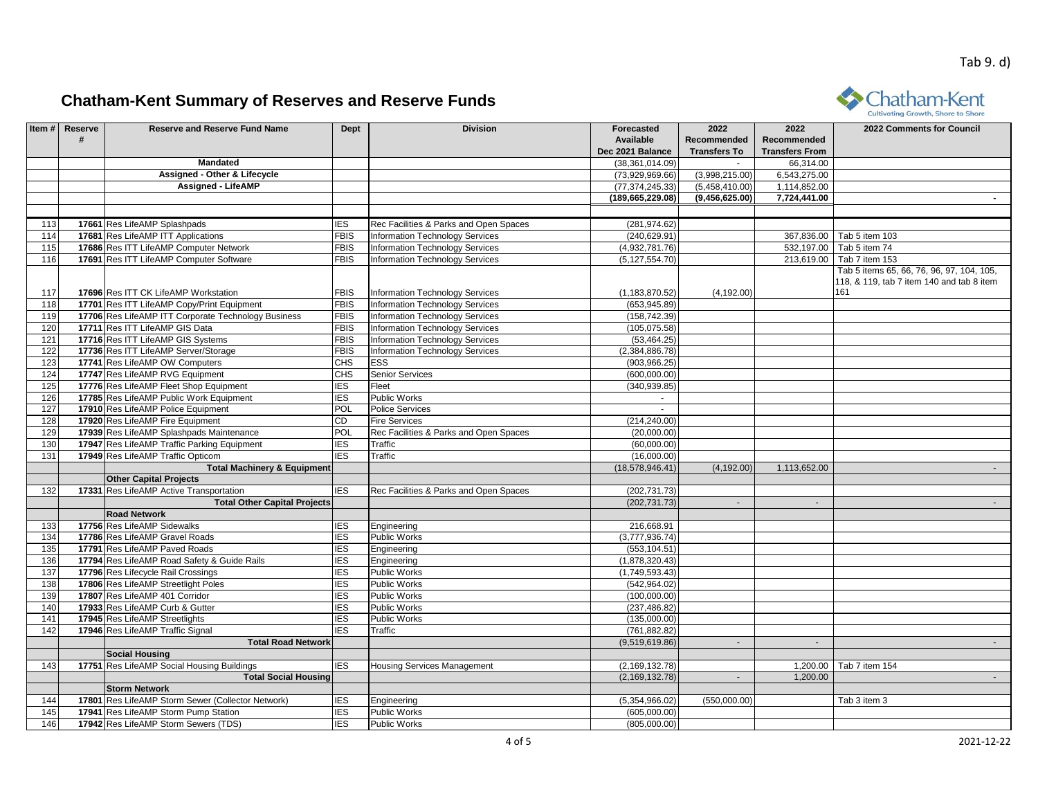

|            |                |                                                                 |                   |                                        |                                 |                     |                       | Cultivating Growth, Shore to Shore        |
|------------|----------------|-----------------------------------------------------------------|-------------------|----------------------------------------|---------------------------------|---------------------|-----------------------|-------------------------------------------|
|            | Item # Reserve | <b>Reserve and Reserve Fund Name</b>                            | <b>Dept</b>       | <b>Division</b>                        | Forecasted                      | 2022                | 2022                  | 2022 Comments for Council                 |
|            |                |                                                                 |                   |                                        | Available                       | Recommended         | Recommended           |                                           |
|            |                |                                                                 |                   |                                        | Dec 2021 Balance                | <b>Transfers To</b> | <b>Transfers From</b> |                                           |
|            |                | Mandated                                                        |                   |                                        | (38, 361, 014.09)               |                     | 66,314.00             |                                           |
|            |                | Assigned - Other & Lifecycle                                    |                   |                                        | (73,929,969.66)                 | (3,998,215.00)      | 6,543,275.00          |                                           |
|            |                | <b>Assigned - LifeAMP</b>                                       |                   |                                        | (77, 374, 245.33)               | (5,458,410.00)      | 1,114,852.00          |                                           |
|            |                |                                                                 |                   |                                        | (189, 665, 229.08)              | (9,456,625.00)      | 7,724,441.00          |                                           |
|            |                |                                                                 |                   |                                        |                                 |                     |                       |                                           |
| 113        |                | 17661 Res LifeAMP Splashpads                                    | <b>IES</b>        | Rec Facilities & Parks and Open Spaces | (281, 974.62)                   |                     |                       |                                           |
| 114        |                | 17681 Res LifeAMP ITT Applications                              | <b>FBIS</b>       | <b>Information Technology Services</b> | (240, 629.91)                   |                     |                       | 367,836.00 Tab 5 item 103                 |
| 115        |                | 17686 Res ITT LifeAMP Computer Network                          | <b>FBIS</b>       | <b>Information Technology Services</b> | (4,932,781.76)                  |                     | 532,197.00            | Tab 5 item 74                             |
| 116        |                | 17691 Res ITT LifeAMP Computer Software                         | <b>FBIS</b>       | <b>Information Technology Services</b> | (5, 127, 554.70)                |                     | 213,619.00            | Tab 7 item 153                            |
|            |                |                                                                 |                   |                                        |                                 |                     |                       | Tab 5 items 65, 66, 76, 96, 97, 104, 105, |
|            |                |                                                                 |                   |                                        |                                 |                     |                       | 118, & 119, tab 7 item 140 and tab 8 item |
| 117        |                | 17696 Res ITT CK LifeAMP Workstation                            | <b>FBIS</b>       | <b>Information Technology Services</b> | (1, 183, 870.52)                | (4, 192.00)         |                       | 161                                       |
| 118        |                | 17701 Res ITT LifeAMP Copy/Print Equipment                      | <b>FBIS</b>       | <b>Information Technology Services</b> | (653, 945.89)                   |                     |                       |                                           |
| 119        |                | 17706 Res LifeAMP ITT Corporate Technology Business             | <b>FBIS</b>       | <b>Information Technology Services</b> | (158, 742.39)                   |                     |                       |                                           |
| 120        |                | 17711 Res ITT LifeAMP GIS Data                                  | <b>FBIS</b>       | <b>Information Technology Services</b> | (105, 075.58)                   |                     |                       |                                           |
| 121        |                | 17716 Res ITT LifeAMP GIS Systems                               | <b>FBIS</b>       | <b>Information Technology Services</b> | (53, 464.25)                    |                     |                       |                                           |
| 122        |                | 17736 Res ITT LifeAMP Server/Storage                            | <b>FBIS</b>       | <b>Information Technology Services</b> | (2,384,886.78)                  |                     |                       |                                           |
| 123        |                | 17741 Res LifeAMP OW Computers                                  | <b>CHS</b>        | ESS                                    | (903, 966.25)                   |                     |                       |                                           |
| 124        |                | 17747 Res LifeAMP RVG Equipment                                 | CHS               | Senior Services                        | (600, 000.00)                   |                     |                       |                                           |
| 125        |                | 17776 Res LifeAMP Fleet Shop Equipment                          | ES                | Fleet                                  | (340, 939.85)                   |                     |                       |                                           |
| 126        |                | 17785 Res LifeAMP Public Work Equipment                         | <b>IES</b>        | Public Works                           |                                 |                     |                       |                                           |
| 127        |                | 17910 Res LifeAMP Police Equipment                              | <b>POL</b>        | <b>Police Services</b>                 | $\sim$                          |                     |                       |                                           |
| 128        |                | 17920 Res LifeAMP Fire Equipment                                | CD                | <b>Fire Services</b>                   | (214, 240.00)                   |                     |                       |                                           |
| 129        |                | 17939 Res LifeAMP Splashpads Maintenance                        | <b>POL</b>        | Rec Facilities & Parks and Open Spaces | (20,000.00)                     |                     |                       |                                           |
| 130        |                | 17947 Res LifeAMP Traffic Parking Equipment                     | IES               | Traffic                                | (60,000.00)                     |                     |                       |                                           |
| 131        |                | 17949 Res LifeAMP Traffic Opticom                               | <b>IES</b>        | Traffic                                | (16,000.00)                     |                     |                       |                                           |
|            |                | <b>Total Machinery &amp; Equipment</b>                          |                   |                                        | (18, 578, 946.41)               | (4, 192.00)         | 1,113,652.00          |                                           |
|            |                | <b>Other Capital Projects</b>                                   |                   |                                        |                                 |                     |                       |                                           |
| 132        |                | 17331 Res LifeAMP Active Transportation                         | <b>IES</b>        | Rec Facilities & Parks and Open Spaces | (202, 731.73)                   |                     |                       |                                           |
|            |                | <b>Total Other Capital Projects</b>                             |                   |                                        | (202, 731.73)                   | $\sim$              | $\sim$                |                                           |
|            |                | <b>Road Network</b>                                             |                   |                                        |                                 |                     |                       |                                           |
| 133        |                | 17756 Res LifeAMP Sidewalks                                     | IES               |                                        | 216,668.91                      |                     |                       |                                           |
|            |                |                                                                 |                   | Engineering                            |                                 |                     |                       |                                           |
| 134<br>135 |                | 17786 Res LifeAMP Gravel Roads<br>17791 Res LifeAMP Paved Roads | IES<br><b>IES</b> | Public Works                           | (3,777,936.74)<br>(553, 104.51) |                     |                       |                                           |
|            |                |                                                                 |                   | Engineering                            |                                 |                     |                       |                                           |
| 136        |                | 17794 Res LifeAMP Road Safety & Guide Rails                     | IES               | Engineering                            | (1,878,320.43)                  |                     |                       |                                           |
| 137        |                | 17796 Res Lifecycle Rail Crossings                              | <b>IES</b>        | Public Works                           | (1,749,593.43)                  |                     |                       |                                           |
| 138        |                | 17806 Res LifeAMP Streetlight Poles                             | IES               | Public Works                           | (542, 964.02)                   |                     |                       |                                           |
| 139        |                | 17807 Res LifeAMP 401 Corridor                                  | <b>IES</b>        | Public Works                           | (100,000.00)                    |                     |                       |                                           |
| 140        |                | 17933 Res LifeAMP Curb & Gutter                                 | <b>IES</b>        | <b>Public Works</b>                    | (237, 486.82)                   |                     |                       |                                           |
| 141        |                | 17945 Res LifeAMP Streetlights                                  | <b>IES</b>        | Public Works                           | (135,000.00)                    |                     |                       |                                           |
| 142        |                | 17946 Res LifeAMP Traffic Signal                                | <b>IES</b>        | Traffic                                | (761, 882.82)                   |                     |                       |                                           |
|            |                | <b>Total Road Network</b>                                       |                   |                                        | (9,519,619.86)                  | $\sim$              | $\sim$                |                                           |
|            |                | <b>Social Housing</b>                                           |                   |                                        |                                 |                     |                       |                                           |
| 143        |                | 17751 Res LifeAMP Social Housing Buildings                      | <b>IES</b>        | <b>Housing Services Management</b>     | (2, 169, 132.78)                |                     | 1,200.00              | Tab 7 item 154                            |
|            |                | <b>Total Social Housing</b>                                     |                   |                                        | (2, 169, 132.78)                | $\sim$              | 1,200.00              | $\sim$                                    |
|            |                | <b>Storm Network</b>                                            |                   |                                        |                                 |                     |                       |                                           |
| 144        |                | 17801 Res LifeAMP Storm Sewer (Collector Network)               | IES               | Engineering                            | (5,354,966.02)                  | (550,000.00)        |                       | Tab 3 item 3                              |
| 145        |                | 17941 Res LifeAMP Storm Pump Station                            | IES               | Public Works                           | (605,000.00)                    |                     |                       |                                           |
| 146        |                | 17942 Res LifeAMP Storm Sewers (TDS)                            | <b>IES</b>        | Public Works                           | (805,000.00)                    |                     |                       |                                           |
|            |                |                                                                 |                   |                                        |                                 |                     |                       |                                           |